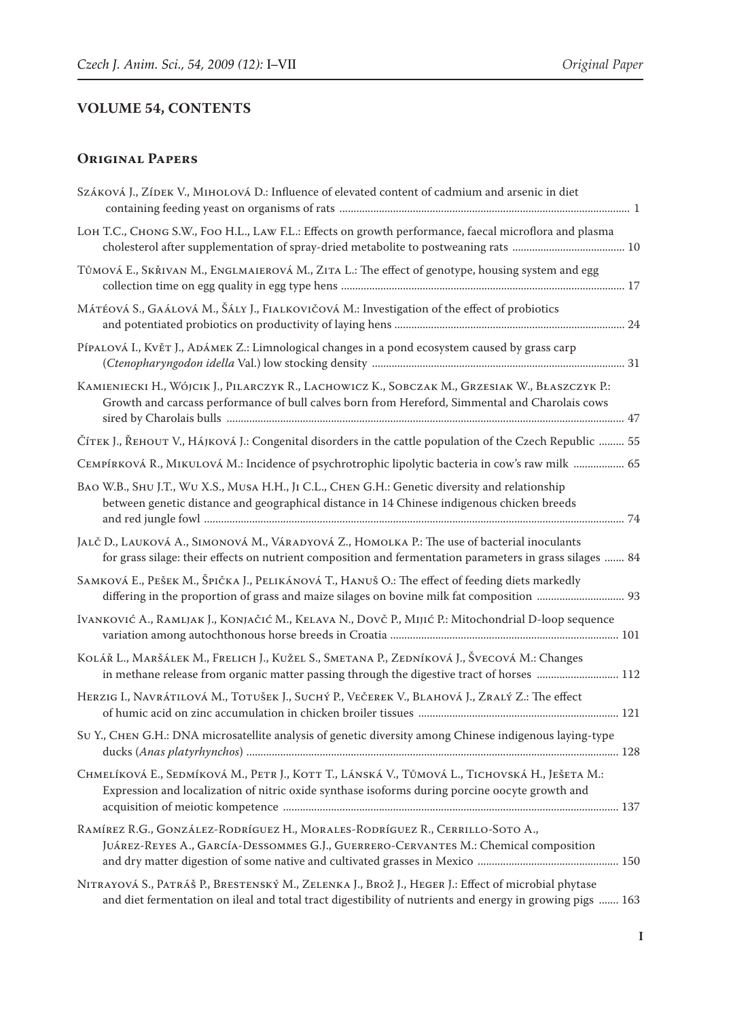## **VOLUME 54, CONTENTS**

## **Original Papers**

| SZÁKOVÁ J., ZÍDEK V., MIHOLOVÁ D.: Influence of elevated content of cadmium and arsenic in diet                                                                                                                 |
|-----------------------------------------------------------------------------------------------------------------------------------------------------------------------------------------------------------------|
| LOH T.C., CHONG S.W., FOO H.L., LAW F.L.: Effects on growth performance, faecal microflora and plasma                                                                                                           |
| Tůmová E., SкŘIVAN M., ENGLMAIEROVÁ M., ZITA L.: The effect of genotype, housing system and egg                                                                                                                 |
| MÁTÉOVÁ S., GAÁLOVÁ M., ŠÁLY J., FIALKOVIČOVÁ M.: Investigation of the effect of probiotics                                                                                                                     |
| PÍPALOVÁ I., KVĚT J., ADÁMEK Z.: Limnological changes in a pond ecosystem caused by grass carp                                                                                                                  |
| KAMIENIECKI H., WÓJCIK J., PILARCZYK R., LACHOWICZ K., SOBCZAK M., GRZESIAK W., BŁASZCZYK P.:<br>Growth and carcass performance of bull calves born from Hereford, Simmental and Charolais cows                 |
| Číтек J., Řеноит V., На́јкоvа́ J.: Congenital disorders in the cattle population of the Czech Republic  55                                                                                                      |
| CEMPÍRKOVÁ R., MIKULOVÁ M.: Incidence of psychrotrophic lipolytic bacteria in cow's raw milk  65                                                                                                                |
| BAO W.B., SHU J.T., WU X.S., MUSA H.H., JI C.L., CHEN G.H.: Genetic diversity and relationship<br>between genetic distance and geographical distance in 14 Chinese indigenous chicken breeds                    |
| JALČ D., LAUKOVÁ A., SIMONOVÁ M., VÁRADYOVÁ Z., HOMOLKA P.: The use of bacterial inoculants<br>for grass silage: their effects on nutrient composition and fermentation parameters in grass silages  84         |
| SAMKOVÁ E., PEŠEK M., ŠPIČKA J., PELIKÁNOVÁ T., HANUŠ O.: The effect of feeding diets markedly<br>differing in the proportion of grass and maize silages on bovine milk fat composition  93                     |
| IVANKOVIĆ A., RAMLJAK J., KONJAČIĆ M., KELAVA N., DOVČ P., MIJIĆ P.: Mitochondrial D-loop sequence                                                                                                              |
| KOLÁŘ L., MARŠÁLEK M., FRELICH J., KUŽEL S., SMETANA P., ZEDNÍKOVÁ J., ŠVECOVÁ M.: Changes<br>in methane release from organic matter passing through the digestive tract of horses  112                         |
| HERZIG I., NAVRÁTILOVÁ M., TOTUŠEK J., SUCHÝ P., VEČEREK V., BLAHOVÁ J., ZRALÝ Z.: The effect                                                                                                                   |
| SU Y., CHEN G.H.: DNA microsatellite analysis of genetic diversity among Chinese indigenous laying-type                                                                                                         |
| CHMELÍKOVÁ E., SEDMÍKOVÁ M., PETR J., KOTT T., LÁNSKÁ V., TŮMOVÁ L., TICHOVSKÁ H., JEŠETA M.:<br>Expression and localization of nitric oxide synthase isoforms during porcine oocyte growth and                 |
| RAMÍREZ R.G., GONZÁLEZ-RODRÍGUEZ H., MORALES-RODRÍGUEZ R., CERRILLO-SOTO A.,<br>JUÁREZ-REYES A., GARCÍA-DESSOMMES G.J., GUERRERO-CERVANTES M.: Chemical composition                                             |
| NITRAYOVÁ S., PATRÁŠ P., BRESTENSKÝ M., ZELENKA J., BROŽ J., HEGER J.: Effect of microbial phytase<br>and diet fermentation on ileal and total tract digestibility of nutrients and energy in growing pigs  163 |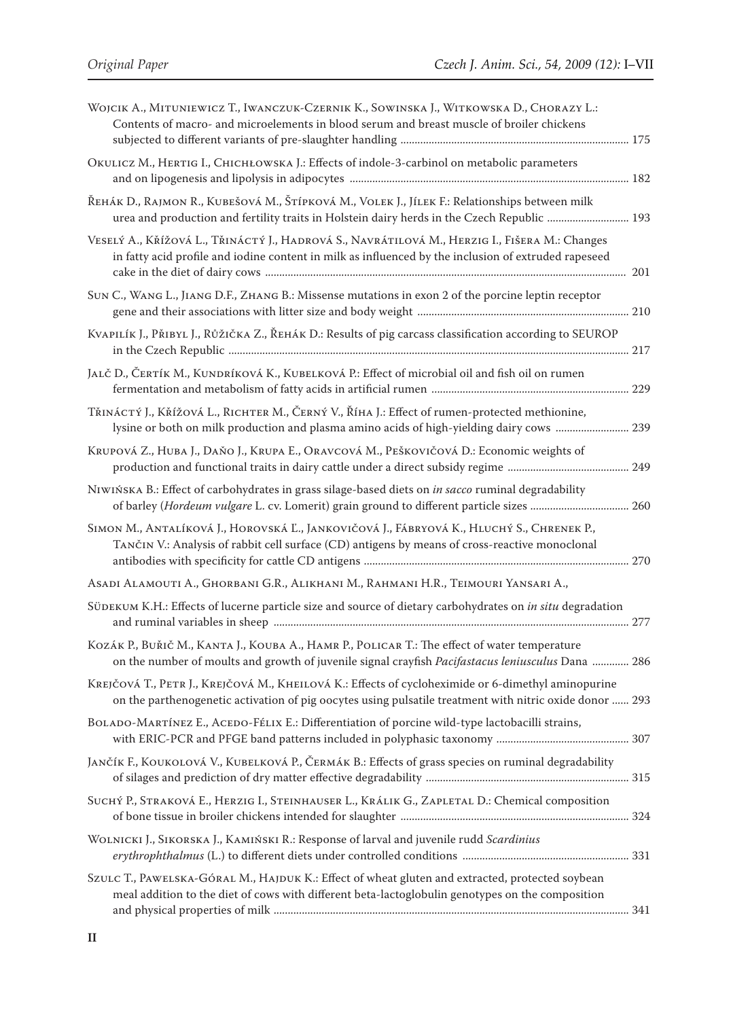| WOJCIK A., MITUNIEWICZ T., IWANCZUK-CZERNIK K., SOWINSKA J., WITKOWSKA D., CHORAZY L.:<br>Contents of macro- and microelements in blood serum and breast muscle of broiler chickens                           |  |
|---------------------------------------------------------------------------------------------------------------------------------------------------------------------------------------------------------------|--|
| OKULICZ M., HERTIG I., CHICHŁOWSKA J.: Effects of indole-3-carbinol on metabolic parameters                                                                                                                   |  |
| ŘEHÁK D., RAJMON R., KUBEŠOVÁ M., ŠTÍPKOVÁ M., VOLEK J., JÍLEK F.: Relationships between milk<br>urea and production and fertility traits in Holstein dairy herds in the Czech Republic  193                  |  |
| VESELÝ A., KŘÍŽOVÁ L., TŘINÁCTÝ J., HADROVÁ S., NAVRÁTILOVÁ M., HERZIG I., FIŠERA M.: Changes<br>in fatty acid profile and iodine content in milk as influenced by the inclusion of extruded rapeseed         |  |
| SUN C., WANG L., JIANG D.F., ZHANG B.: Missense mutations in exon 2 of the porcine leptin receptor                                                                                                            |  |
| KVAPILÍK J., PŘIBYL J., RŮŽIČKA Z., ŘEHÁK D.: Results of pig carcass classification according to SEUROP                                                                                                       |  |
| JALČ D., ČERTÍK M., KUNDRÍKOVÁ K., KUBELKOVÁ P.: Effect of microbial oil and fish oil on rumen                                                                                                                |  |
| TŘINÁCTÝ J., KŘÍŽOVÁ L., RICHTER M., ČERNÝ V., ŘÍHA J.: Effect of rumen-protected methionine,<br>lysine or both on milk production and plasma amino acids of high-yielding dairy cows  239                    |  |
| KRUPOVÁ Z., HUBA J., DAŇO J., KRUPA E., ORAVCOVÁ M., PEŠKOVIČOVÁ D.: Economic weights of                                                                                                                      |  |
| NIWIŃSKA B.: Effect of carbohydrates in grass silage-based diets on in sacco ruminal degradability<br>of barley (Hordeum vulgare L. cv. Lomerit) grain ground to different particle sizes  260                |  |
| SIMON M., ANTALÍKOVÁ J., HOROVSKÁ Ľ., JANKOVIČOVÁ J., FÁBRYOVÁ K., HLUCHÝ S., CHRENEK P.,<br>TANČIN V.: Analysis of rabbit cell surface (CD) antigens by means of cross-reactive monoclonal                   |  |
| ASADI ALAMOUTI A., GHORBANI G.R., ALIKHANI M., RAHMANI H.R., TEIMOURI YANSARI A.,                                                                                                                             |  |
| SÜDEKUM K.H.: Effects of lucerne particle size and source of dietary carbohydrates on in situ degradation                                                                                                     |  |
| Коzák Р., Buřič M., KANTA J., KOUBA A., HAMR P., POLICAR T.: The effect of water temperature<br>on the number of moults and growth of juvenile signal crayfish <i>Pacifastacus leniusculus</i> Dana  286      |  |
| KREJČOVÁ T., PETR J., KREJČOVÁ M., KHEILOVÁ K.: Effects of cycloheximide or 6-dimethyl aminopurine<br>on the parthenogenetic activation of pig oocytes using pulsatile treatment with nitric oxide donor  293 |  |
| BOLADO-MARTÍNEZ E., ACEDO-FÉLIX E.: Differentiation of porcine wild-type lactobacilli strains,                                                                                                                |  |
| JANČÍK F., KOUKOLOVÁ V., KUBELKOVÁ P., ČERMÁK B.: Effects of grass species on ruminal degradability                                                                                                           |  |
| SUCHÝ P., STRAKOVÁ E., HERZIG I., STEINHAUSER L., KRÁLIK G., ZAPLETAL D.: Chemical composition                                                                                                                |  |
| WOLNICKI J., SIKORSKA J., KAMIŃSKI R.: Response of larval and juvenile rudd Scardinius                                                                                                                        |  |
| SZULC T., PAWELSKA-GÓRAL M., HAJDUK K.: Effect of wheat gluten and extracted, protected soybean<br>meal addition to the diet of cows with different beta-lactoglobulin genotypes on the composition           |  |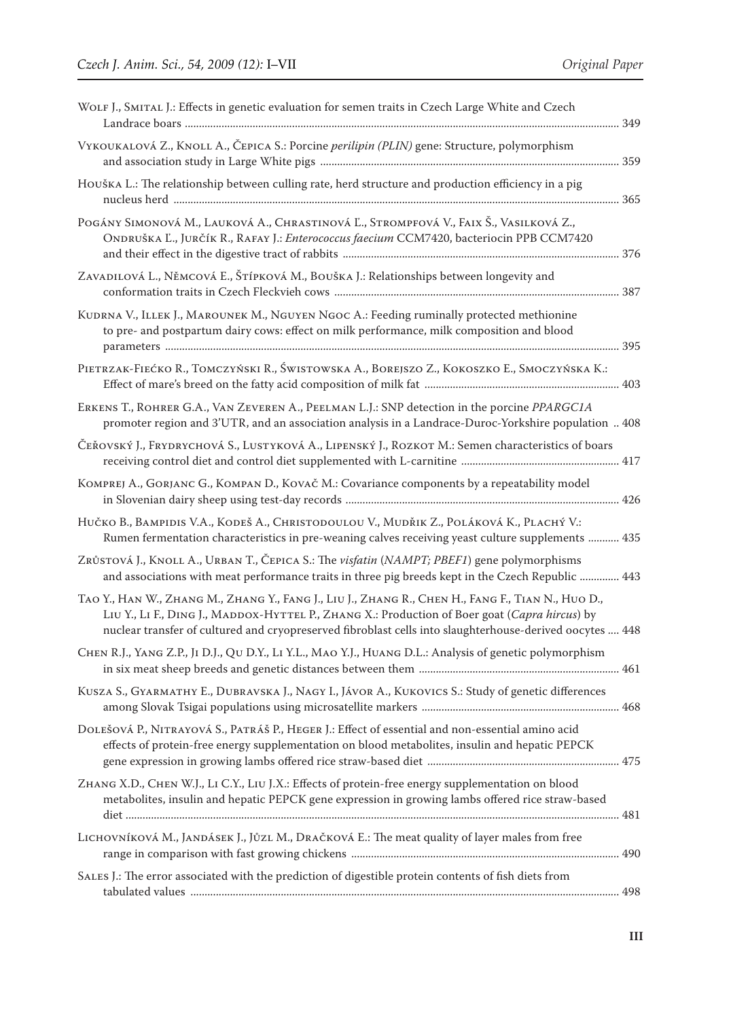| WOLF J., SMITAL J.: Effects in genetic evaluation for semen traits in Czech Large White and Czech                                                                                                                                                                                                              |  |
|----------------------------------------------------------------------------------------------------------------------------------------------------------------------------------------------------------------------------------------------------------------------------------------------------------------|--|
| VYKOUKALOVÁ Z., KNOLL A., ČEPICA S.: Porcine perilipin (PLIN) gene: Structure, polymorphism                                                                                                                                                                                                                    |  |
| HOUŠKA L.: The relationship between culling rate, herd structure and production efficiency in a pig                                                                                                                                                                                                            |  |
| POGÁNY SIMONOVÁ M., LAUKOVÁ A., CHRASTINOVÁ Ľ., STROMPFOVÁ V., FAIX Š., VASILKOVÁ Z.,<br>ONDRUŠKA Ľ., JURČÍK R., RAFAY J.: Enterococcus faecium CCM7420, bacteriocin PPB CCM7420                                                                                                                               |  |
| ZAVADILOVÁ L., NĚMCOVÁ E., ŠTÍPKOVÁ M., BOUŠKA J.: Relationships between longevity and                                                                                                                                                                                                                         |  |
| KUDRNA V., ILLEK J., MAROUNEK M., NGUYEN NGOC A.: Feeding ruminally protected methionine<br>to pre- and postpartum dairy cows: effect on milk performance, milk composition and blood                                                                                                                          |  |
| PIETRZAK-FIEĆKO R., TOMCZYŃSKI R., ŚWISTOWSKA A., BOREJSZO Z., KOKOSZKO E., SMOCZYŃSKA K.:                                                                                                                                                                                                                     |  |
| ERKENS T., ROHRER G.A., VAN ZEVEREN A., PEELMAN L.J.: SNP detection in the porcine PPARGC1A<br>promoter region and 3'UTR, and an association analysis in a Landrace-Duroc-Yorkshire population  408                                                                                                            |  |
| ČEŘOVSKÝ J., FRYDRYCHOVÁ S., LUSTYKOVÁ A., LIPENSKÝ J., ROZKOT M.: Semen characteristics of boars                                                                                                                                                                                                              |  |
| KOMPREJ A., GORJANC G., KOMPAN D., KOVAČ M.: Covariance components by a repeatability model                                                                                                                                                                                                                    |  |
| Hučko B., Bampidis V.A., Kodeš A., Christodoulou V., Mudřik Z., Poláková K., Plachý V.:<br>Rumen fermentation characteristics in pre-weaning calves receiving yeast culture supplements  435                                                                                                                   |  |
| ZRŮSTOVÁ J., KNOLL A., URBAN T., ČEPICA S.: The visfatin (NAMPT; PBEF1) gene polymorphisms<br>and associations with meat performance traits in three pig breeds kept in the Czech Republic  443                                                                                                                |  |
| TAO Y., HAN W., ZHANG M., ZHANG Y., FANG J., LIU J., ZHANG R., CHEN H., FANG F., TIAN N., HUO D.,<br>LIU Y., LI F., DING J., MADDOX-HYTTEL P., ZHANG X.: Production of Boer goat (Capra hircus) by<br>nuclear transfer of cultured and cryopreserved fibroblast cells into slaughterhouse-derived oocytes  448 |  |
| CHEN R.J., YANG Z.P., JI D.J., QU D.Y., LI Y.L., MAO Y.J., HUANG D.L.: Analysis of genetic polymorphism                                                                                                                                                                                                        |  |
| KUSZA S., GYARMATHY E., DUBRAVSKA J., NAGY I., JÁVOR A., KUKOVICS S.: Study of genetic differences                                                                                                                                                                                                             |  |
| DOLEŠOVÁ P., NITRAYOVÁ S., PATRÁŠ P., HEGER J.: Effect of essential and non-essential amino acid<br>effects of protein-free energy supplementation on blood metabolites, insulin and hepatic PEPCK                                                                                                             |  |
| ZHANG X.D., CHEN W.J., LI C.Y., LIU J.X.: Effects of protein-free energy supplementation on blood<br>metabolites, insulin and hepatic PEPCK gene expression in growing lambs offered rice straw-based                                                                                                          |  |
| LICHOVNÍKOVÁ M., JANDÁSEK J., JŮZL M., DRAČKOVÁ E.: The meat quality of layer males from free                                                                                                                                                                                                                  |  |
| SALES J.: The error associated with the prediction of digestible protein contents of fish diets from                                                                                                                                                                                                           |  |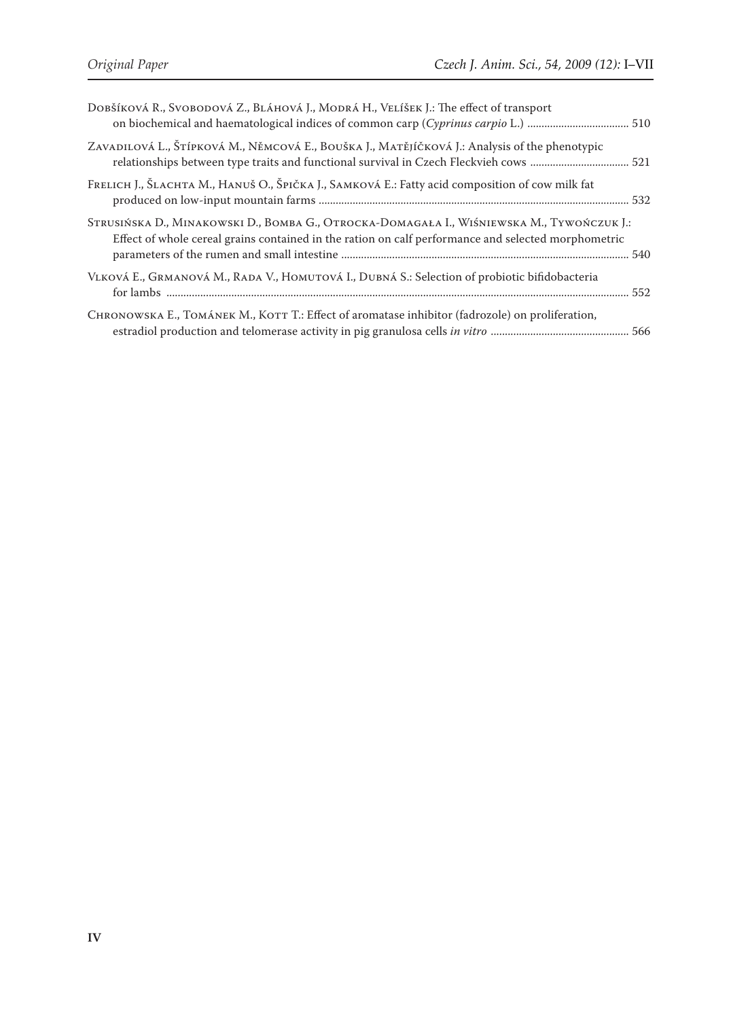| DOBŠÍKOVÁ R., SVOBODOVÁ Z., BLÁHOVÁ J., MODRÁ H., VELÍŠEK J.: The effect of transport                                                                                                            |  |
|--------------------------------------------------------------------------------------------------------------------------------------------------------------------------------------------------|--|
| ZAVADILOVÁ L., ŠTÍPKOVÁ M., NĚMCOVÁ E., BOUŠKA J., MATĚJÍČKOVÁ J.: Analysis of the phenotypic                                                                                                    |  |
| FRELICH J., ŠLACHTA M., HANUŠ O., ŠPIČKA J., SAMKOVÁ E.: Fatty acid composition of cow milk fat                                                                                                  |  |
| STRUSIŃSKA D., MINAKOWSKI D., BOMBA G., OTROCKA-DOMAGAŁA I., WIŚNIEWSKA M., TYWOŃCZUK J.:<br>Effect of whole cereal grains contained in the ration on calf performance and selected morphometric |  |
| VLKOVÁ E., GRMANOVÁ M., RADA V., HOMUTOVÁ I., DUBNÁ S.: Selection of probiotic bifidobacteria                                                                                                    |  |
| CHRONOWSKA E., TOMÁNEK M., KOTT T.: Effect of aromatase inhibitor (fadrozole) on proliferation,                                                                                                  |  |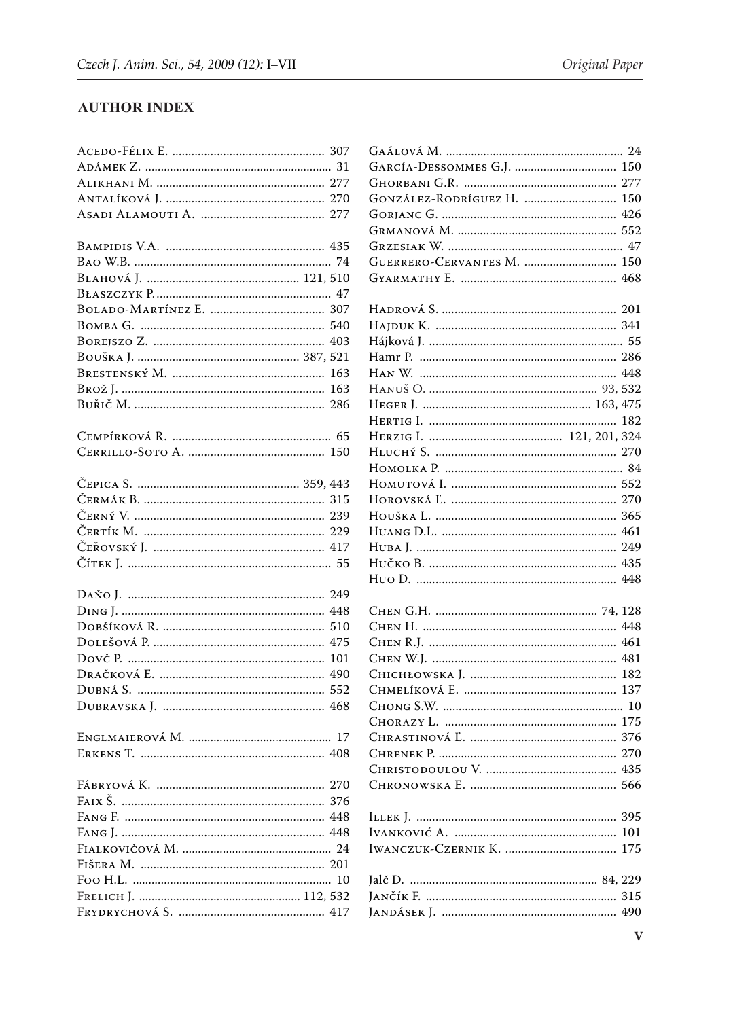## **AUTHOR INDEX**

| GONZÁLEZ-RODRÍGUEZ H.  150 |  |
|----------------------------|--|
|                            |  |
|                            |  |
|                            |  |
| GUERRERO-CERVANTES M.  150 |  |
|                            |  |
|                            |  |
|                            |  |
|                            |  |
|                            |  |
|                            |  |
|                            |  |
|                            |  |
|                            |  |
|                            |  |
|                            |  |
|                            |  |
|                            |  |
|                            |  |
|                            |  |
|                            |  |
|                            |  |
|                            |  |
|                            |  |
|                            |  |
|                            |  |
|                            |  |
|                            |  |
|                            |  |
|                            |  |
|                            |  |
|                            |  |
|                            |  |
|                            |  |
|                            |  |
|                            |  |
|                            |  |
|                            |  |
|                            |  |
|                            |  |
|                            |  |
|                            |  |
|                            |  |
|                            |  |
|                            |  |
|                            |  |
|                            |  |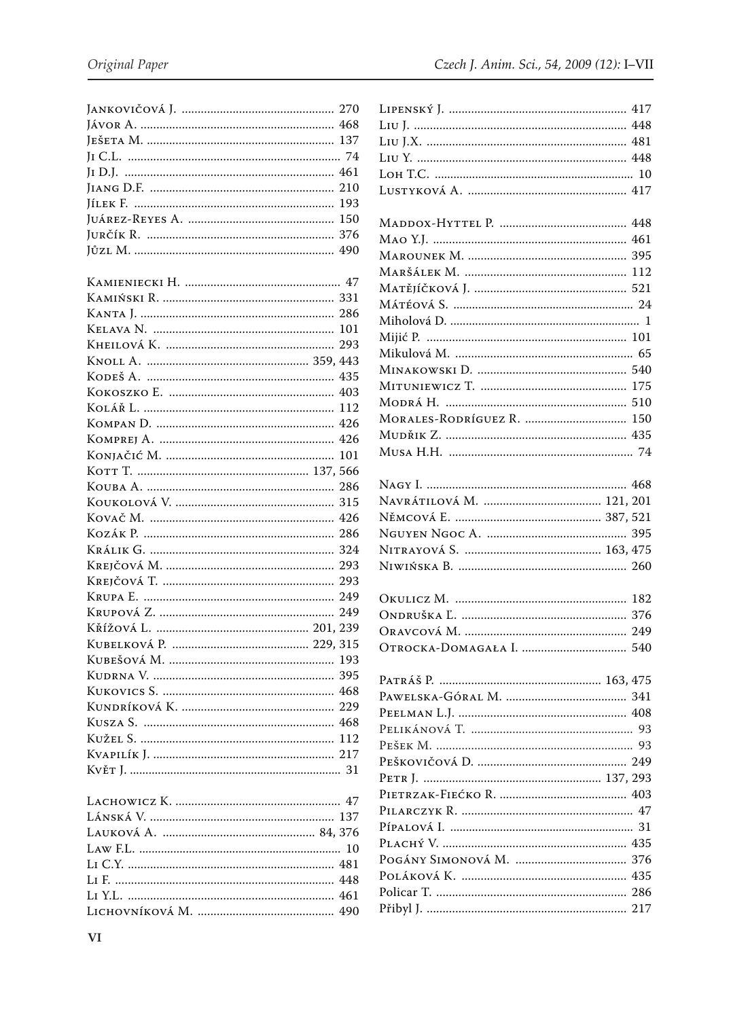| 293 |
|-----|
|     |
| 435 |
|     |
|     |
|     |
|     |
| 101 |
|     |
| 286 |
|     |
|     |
|     |
|     |
|     |
|     |
|     |
|     |
|     |
|     |
|     |
|     |
|     |
|     |
|     |
|     |
|     |
|     |
|     |
|     |
|     |
|     |
|     |
|     |
|     |
|     |
|     |
|     |

| MORALES-RODRÍGUEZ R.  150 |
|---------------------------|
|                           |
|                           |
|                           |
|                           |
|                           |
|                           |
|                           |
|                           |
|                           |
|                           |
|                           |
|                           |
|                           |
|                           |
|                           |
|                           |
|                           |
|                           |
|                           |
|                           |
|                           |
|                           |
|                           |
|                           |
|                           |
|                           |
|                           |
|                           |
|                           |
|                           |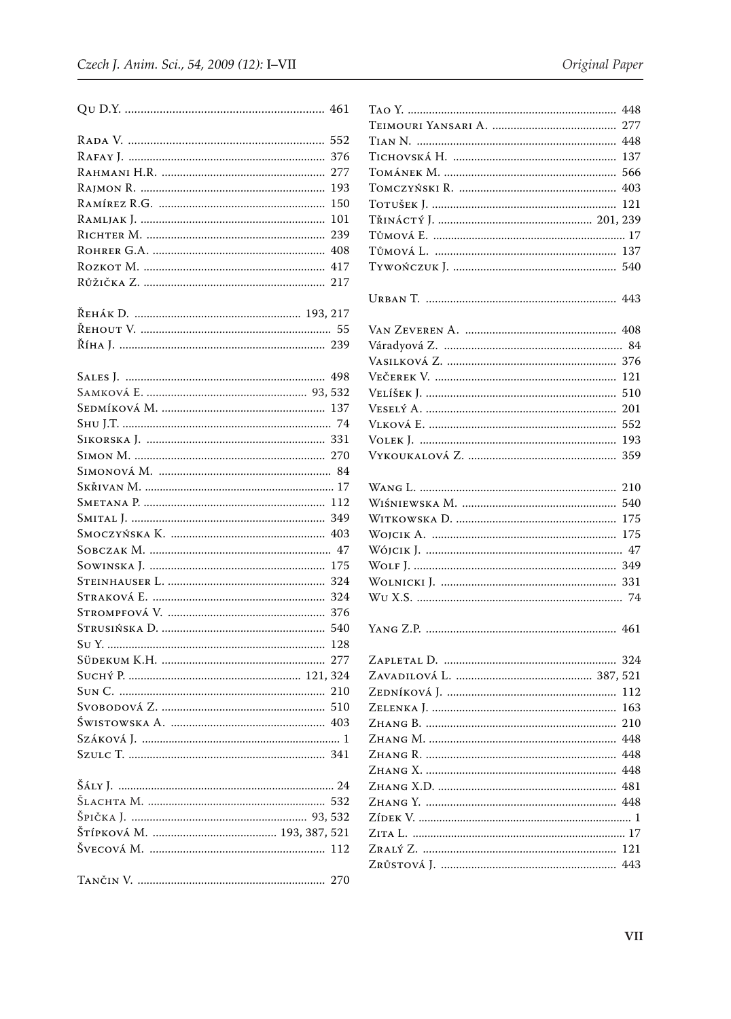|                                       | 552 |
|---------------------------------------|-----|
|                                       | 376 |
|                                       | 277 |
|                                       | 193 |
|                                       | 150 |
|                                       | 101 |
|                                       | 239 |
|                                       | 408 |
|                                       | 417 |
|                                       |     |
|                                       |     |
| Řена́к D. ……………………………………………… 193, 217 |     |
|                                       |     |
|                                       |     |
|                                       |     |
|                                       | 498 |
|                                       |     |
|                                       |     |
|                                       |     |
|                                       |     |
|                                       |     |
|                                       |     |
|                                       |     |
|                                       |     |
|                                       |     |
|                                       |     |
|                                       | 47  |
|                                       | 175 |
|                                       | 324 |
|                                       | 324 |
|                                       |     |
|                                       | 540 |
|                                       | 128 |
|                                       |     |
|                                       |     |
|                                       |     |
|                                       |     |
|                                       |     |
|                                       |     |
|                                       |     |
|                                       |     |
|                                       |     |
|                                       |     |
|                                       |     |
|                                       |     |
|                                       |     |
|                                       |     |

| 359 |
|-----|
|     |
|     |
|     |
| 175 |
|     |
|     |
|     |
|     |
|     |
|     |
|     |
|     |
|     |
|     |
|     |
|     |
|     |
|     |
|     |
|     |
|     |
|     |
|     |
|     |
|     |
|     |
|     |